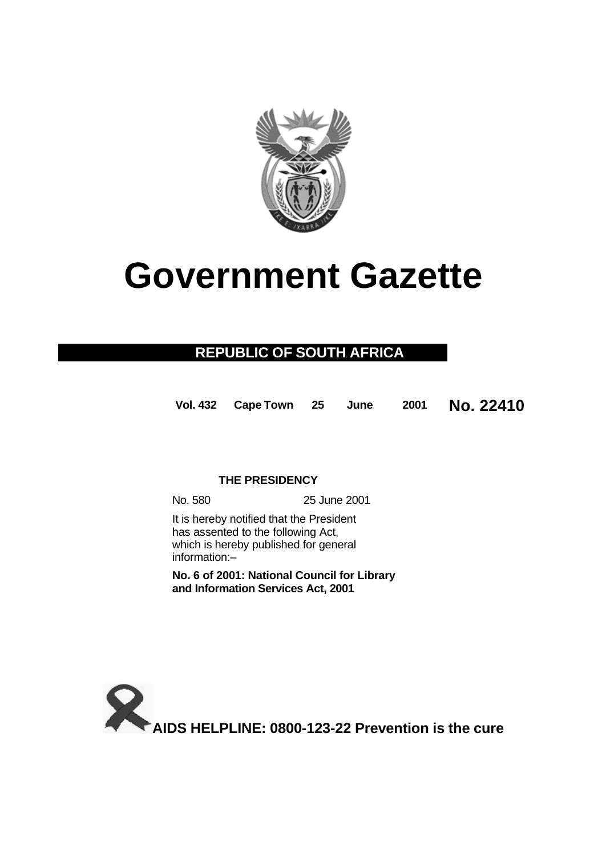

# **Government Gazette**

## **REPUBLIC OF SOUTH AFRICA**

**Vol. 432 Cape Town 25 June 2001 No. 22410**

## **THE PRESIDENCY**

No. 580 25 June 2001

It is hereby notified that the President has assented to the following Act, which is hereby published for general information:–

**No. 6 of 2001: National Council for Library and Information Services Act, 2001**

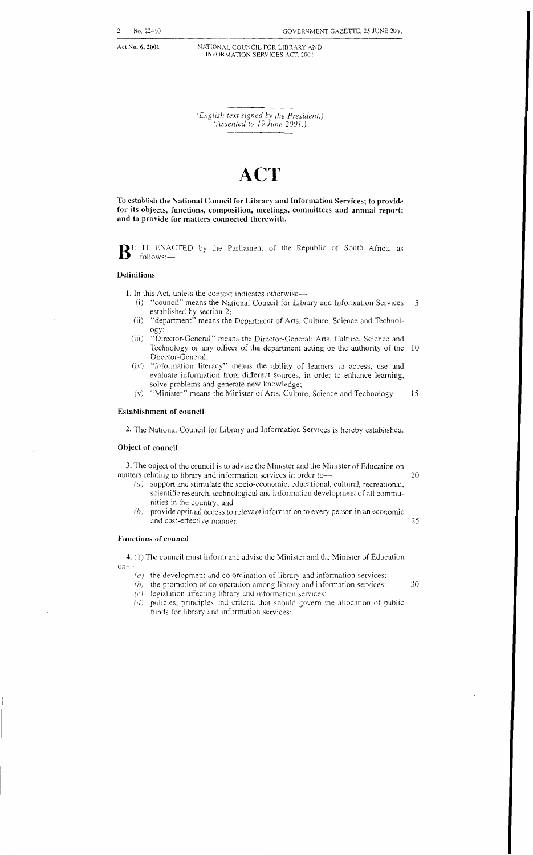**Act No. 6, 2001** NATIONAL COUNCIL FOR LIBRARY AND INFORMATION SERVICES ACT, 2001

> *(English text signed by the President.) (Assented to 19 Jtlne -3001.)*

## *A.* **4CT**

**To establish the National Council for Library and Information Services; to provide**  for its objects, functions, composition, meetings, committees and annual report; **and to provide for matters connected therewith.** 

**B** E IT ENACTED by the Parliament of the Republic of South Africa, as follows:-

#### **Definitions**

**1.** In this Act, unless the context indicates otherwise-

- "council" means the National Council for Library and Information Services 5  $(i)$ established by section 2;
- "department" means the Department of Arts, Culture, Science and Technol- $(ii)$ ogy;
- $(iii)$ "Director-General" means the Director-General: Arts. Culture, Science and Technology or any officer of the department acting on the authority of the 10 Director-General;
- $(iv)$ "information literacy" means the ability of learners to access, use and evaluate information from different sources, in order to enhance learning, solve problems and generate new knowledge;
- $(v)$ "Minister" means the Minister of Arts, Culture, Science and Technology. IS

#### **Establishment of council**

**2.** The National Council for Library and Information Services is hereby established

#### **Object of council**

3. The object of the council is to advise the Minister and the Minister of Education on matters relating to library and information services in order to-

- (a) support and stimulate the socio-economic, educational. cultural, recreational, scientific research, technological and information development of all communities in the country; and
- *(b)* provide optimal access to relevant information to every person in an economic and cost-effective manner. **25** *25*

#### **Functions of council**

**1.** (I) The council must inform and advise the Minister and the Minister of Education  $on-$ 

- (a) the development and co-ordination of library and information services;  $(b)$  the promotion of co-operation among library and information services;
- *(b)* the promotion of co-operation among library and information services:  $\frac{30}{3}$
- $(c)$  legislation affecting library and information services;
- $(d)$  policies, principles and criteria that should govern the allocation of public funds for library and information services: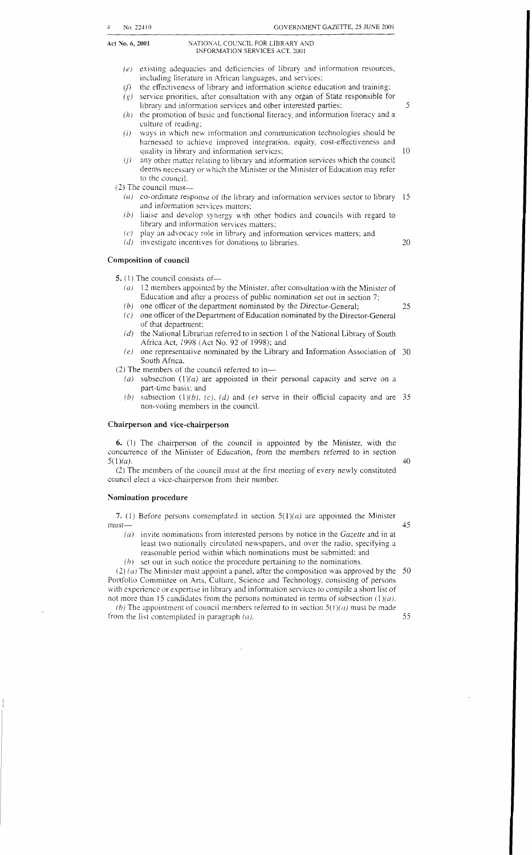#### **Act Nn.** *6,* **2001** NATIONAL COUNCIL FOR LIBRARY .AND INFORMATION SERVICES ACT. *7-00* <sup>I</sup>

- existing adequacies and deficiencies of library and information resources,  $(e)$ including literature in African languages, and services:
- the effectiveness of library and information science education and training:  $(f)$  $(g)$ service priorities, after consultation with any organ of State responsible for
- library and information services and other interested parties;  $(h)$ the promotion of basic and functional literacy, and information literacy and a
- culture of reading; ways in which new information and communication technologies should be  $(i)$
- harnessed to achieve improved integration, equity, cost-effectiveness and quality in library and information services;
- any other matter relating to library and information services which the council  $(i)$ deems necessary or which the Minister or the Minister of Education may refer to the council.
- *(2)* The council must-
	- $(a)$  co-ordinate response of the library and information services sector to library 15 and information services matters;
	- *(b)* liaise and develop synergy uith other bodies and councils with regard to library and information services matters;
	- $(c)$  play an advocacy role in library and information services matters; and
	- *id)* investigate incentives for donations to libraries.

#### **Composition of council**

5. (1) The council consists of-

- $(a)$  12 members appointed by the Minister, after consultation with the Minister of Education and after a process of public nomination set out in section 7;
- *(b)* one officer of the department nominated by the Director-General;
- (c) one officer of the Department of Education nominated by the Director-General of that department;
- *id)* the National Librarian referred to in section 1 of the National Library of South Africa Act, 1998 (Act No. 92 of 1998); and
- *(e)* one representative nominated by the Library and Information Association of *30*  South Africa.
- *(2)* The members of the council referred to in-
- *(a)* subsection *(l)(a)* are appointed in their personal capacity and serve on a part-time basis; and
- (b) subsection (1)(b), (c), (d) and (e) serve in their official capacity and are  $35$ non-voting members in the council.

#### **Chairperson and vice-chairperson**

**6.** (1) The chairperson of the council is appointed by the Minister, with the concurrence of the Minister of Education, from the members referred to in section  $5(1)(a)$ 

*(2)* The members of the council must at the first meeting of every newly constituted council elect a vice-chairperson from their number.

#### **Nomination procedure**

7. (1) Before persons contemplated in section  $5(1)(a)$  are appointed the Minister must-

- *in)* invite nominations from interested persons by notice in the *Gazette* and in at least two nationally circulated newspapers, and over the radio, specifying a reasonable period within which nominations must be submitted; and
- *(b)* set out in such notice the procedure pertaining to the nominations.

(2) (*a*) The Minister must appoint a panel, after the composition was approved by the 50 Portfolio Committee on Arts, Culture, Science and Technology, consisting of persons with experience or expertise in library and information services to compile a short list ot not more than 15 candidates from the persons nominated in terms of subsection  $(1)(a)$ . *(b)* The appointment of council members referred to in section  $5(1)(a)$  must be made

from the list contemplated in paragraph  $(a)$ .

55

40

45

*25* 

20

*5* 

10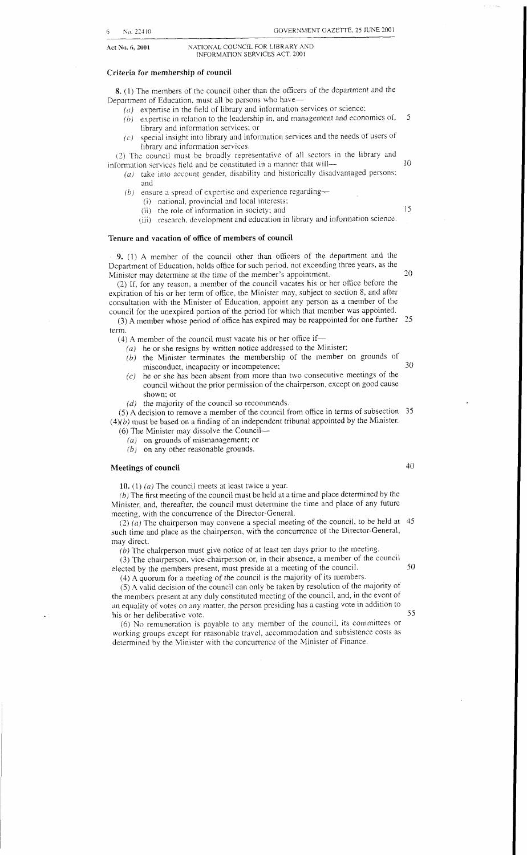Act No. 6, 2001

NATIONAL COUNCIL FOR LIBRARY AND INFORMATION SERVICES ACT, 2001

#### **Criteria for membership of council**

**8.** (1) The members of the council other than the officers of the department and the Department of Education, must all be persons who have-

- $(a)$  expertise in the field of library and information services or science;
- *(bj* expertise in relation to the leadership in, and management and economics of, *5*  library and information services; or
- $(c)$  special insight into library and information services and the needs of users of library and information services.

*(2)* The council must be broadly representative of all sectors in the library and information services field and be constituted in a manner that will—10

- *(a)* take into account gender, disability and historically disadvantaged persons: and
	- (b) ensure a spread of expertise and experience regarding--
		- (i) national, provincial and local interests;<br>(ii) the role of information in society; and
		- (i) the role of information in society; and 15
		- (iii) research, development and education in library and information science.

#### **Tenure and vacation of office of members of council**

**9.** (1) **A** member of the council other than officers of the department and the Department of Education, holds office for such period. not exceeding three years. as the Minister may determine at the time of the member's appointment. *20* 

(2) If, for any reason, a member of the council vacates his or her office before the expiration of his or her term of oflice, the Minister may, subject to section 8, and after consultation with the Minister of Education, appoint any person as a member of the council for the unexpired portion of the period for which that member was appointed.

term. (3) **A** member whose period of office has expired may be reappointed for one further *25* 

- (4) A member of the council must vacate his or her office if-
	- *(a)* he or she resigns by written notice addressed to the Minister;
	- (6) the Minister terminates the membership of the member on grounds of misconduct, incapacity or incompetence;<br>
	(c) he or she has been absent from more than two consecutive meetings of the
	- he or she has been absent from more than two consecutive meetings of the council without the prior permission of the chairperson, except on good cause shown; or
	- *(d)* the majority of the council so recommends.

(5) **A** decision to remove a member of the council from office in terms of subsection *35*   $(4)(b)$  must be based on a finding of an independent tribunal appointed by the Minister.

*(6)* The Minister may dissolve the Council-

- *(a)* on grounds of mismanagement; or
- (b) on any other reasonable grounds.

### **Meetings of council** 40

**10.** (1 ) *(a)* The council meets at least twice a year.

 $(b)$  The first meeting of the council must be held at a time and place determined by the Minister, and, thereafter, the council must determine the time and place of any future meeting, with the concurrence of the Director-General.

such time and place as the chairperson, with the concurrence of the Director-General, may direct. (2)  $(a)$  The chairperson may convene a special meeting of the council, to be held at 45

*(hj* The chairperson must give notice of at least ten days prior to the meeting.

(3) The chairperson, vice-chairperson or, in their absence, a member of the council elected by the members present, must preside at a meeting of the council. *50* 

(4) **A** quorum for a meeting *of* the council is the majority of its members.

*(5)* **A** valid decision of the council can only be taken by resolution of the majority of the members present at any duly constituted meeting of the council. and, in the event of an equality of votes on any matter, the person presiding has a casting vote in addition to his or her deliberative vote. *55* 

(6) No remuneration is payable to any member of the council, its committees or working groups except for reasonable travel. accommodation and subsistence costs as determined by the Minister with the concurrence of the Minister of Finance.

- 
- 
-